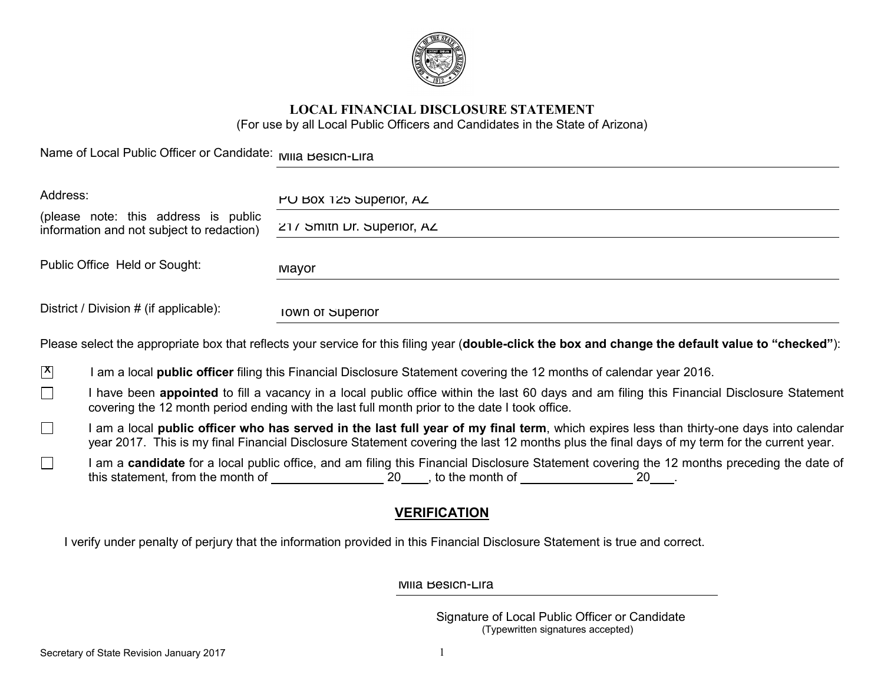

# **LOCAL FINANCIAL DISCLOSURE STATEMENT**

(For use by all Local Public Officers and Candidates in the State of Arizona)

Name of Local Public Officer or Candidate: Mila Besich-Lira

| Address:                                                                          |                                                                                                                                                                                                                                           | PU BOX 125 Superior, AZ                                                                                                                             |  |
|-----------------------------------------------------------------------------------|-------------------------------------------------------------------------------------------------------------------------------------------------------------------------------------------------------------------------------------------|-----------------------------------------------------------------------------------------------------------------------------------------------------|--|
| (please note: this address is public<br>information and not subject to redaction) |                                                                                                                                                                                                                                           | 21/ Smith Dr. Superior, AZ                                                                                                                          |  |
| Public Office Held or Sought:                                                     |                                                                                                                                                                                                                                           | Mayor                                                                                                                                               |  |
| District / Division # (if applicable):                                            |                                                                                                                                                                                                                                           | Town of Superior                                                                                                                                    |  |
|                                                                                   |                                                                                                                                                                                                                                           | Please select the appropriate box that reflects your service for this filing year (double-click the box and change the default value to "checked"): |  |
| $\mathbf{X}$                                                                      |                                                                                                                                                                                                                                           | I am a local <b>public officer</b> filing this Financial Disclosure Statement covering the 12 months of calendar year 2016.                         |  |
| $\Box$                                                                            | have been appointed to fill a vacancy in a local public office within the last 60 days and am filing this Financial Disclosure Statement<br>covering the 12 month period ending with the last full month prior to the date I took office. |                                                                                                                                                     |  |

- $\Box$ I am a local **public officer who has served in the last full year of my final term**, which expires less than thirty-one days into calendar year 2017. This is my final Financial Disclosure Statement covering the last 12 months plus the final days of my term for the current year.
- $\Box$ I am a **candidate** for a local public office, and am filing this Financial Disclosure Statement covering the 12 months preceding the date of this statement, from the month of  $\frac{1}{20}$ , to the month of  $\frac{1}{20}$  20  $\frac{1}{20}$ .

# **VERIFICATION**

I verify under penalty of perjury that the information provided in this Financial Disclosure Statement is true and correct.

Mila Besich-Lira

Signature of Local Public Officer or Candidate (Typewritten signatures accepted)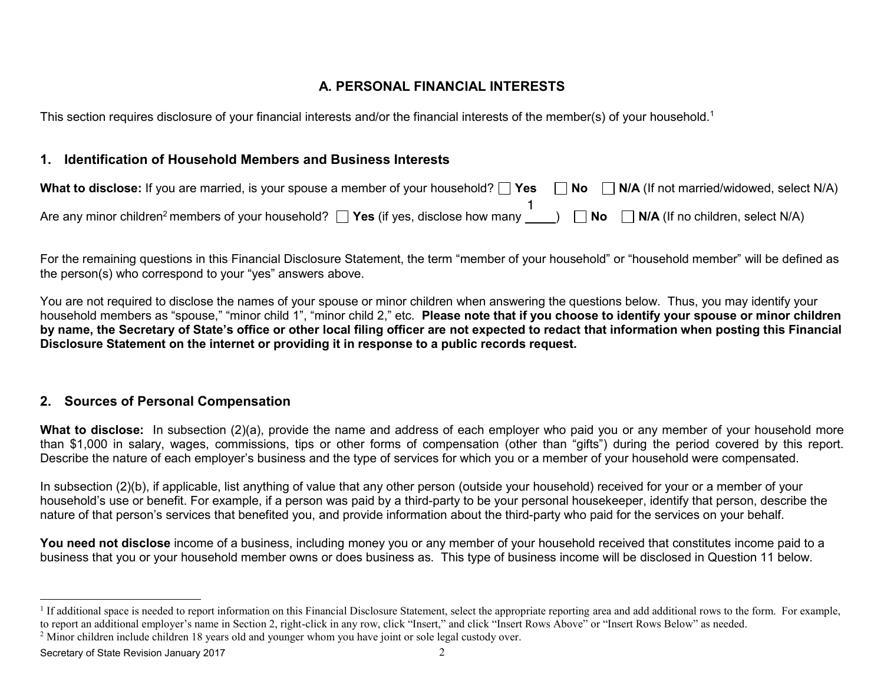# **A. PERSONAL FINANCIAL INTERESTS**

This section requires disclosure of your financial interests and/or the financial interests of the member(s) of your household.<sup>1</sup>

## **1. Identification of Household Members and Business Interests**

| What to disclose: If you are married, is your spouse a member of your household? $\Box$ Yes $\Box$ No $\Box$ N/A (If not married/widowed, select N/A) |                                                                 |
|-------------------------------------------------------------------------------------------------------------------------------------------------------|-----------------------------------------------------------------|
| Are any minor children <sup>2</sup> members of your household? $\Box$ Yes (if yes, disclose how many                                                  | $($ $)$ $\bigcap$ No $\bigcap$ N/A (If no children, select N/A) |

For the remaining questions in this Financial Disclosure Statement, the term "member of your household" or "household member" will be defined as the person(s) who correspond to your "yes" answers above.

You are not required to disclose the names of your spouse or minor children when answering the questions below. Thus, you may identify your household members as "spouse," "minor child 1", "minor child 2," etc. **Please note that if you choose to identify your spouse or minor children by name, the Secretary of State's office or other local filing officer are not expected to redact that information when posting this Financial Disclosure Statement on the internet or providing it in response to a public records request.** 

# **2. Sources of Personal Compensation**

**What to disclose:** In subsection (2)(a), provide the name and address of each employer who paid you or any member of your household more than \$1,000 in salary, wages, commissions, tips or other forms of compensation (other than "gifts") during the period covered by this report. Describe the nature of each employer's business and the type of services for which you or a member of your household were compensated.

In subsection (2)(b), if applicable, list anything of value that any other person (outside your household) received for your or a member of your household's use or benefit. For example, if a person was paid by a third-party to be your personal housekeeper, identify that person, describe the nature of that person's services that benefited you, and provide information about the third-party who paid for the services on your behalf.

**You need not disclose** income of a business, including money you or any member of your household received that constitutes income paid to a business that you or your household member owns or does business as. This type of business income will be disclosed in Question 11 below.

Secretary of State Revision January 2017 2018

<sup>&</sup>lt;sup>1</sup> If additional space is needed to report information on this Financial Disclosure Statement, select the appropriate reporting area and add additional rows to the form. For example, to report an additional employer's name in Section 2, right-click in any row, click "Insert," and click "Insert Rows Above" or "Insert Rows Below" as needed.

<sup>&</sup>lt;sup>2</sup> Minor children include children 18 years old and younger whom you have joint or sole legal custody over.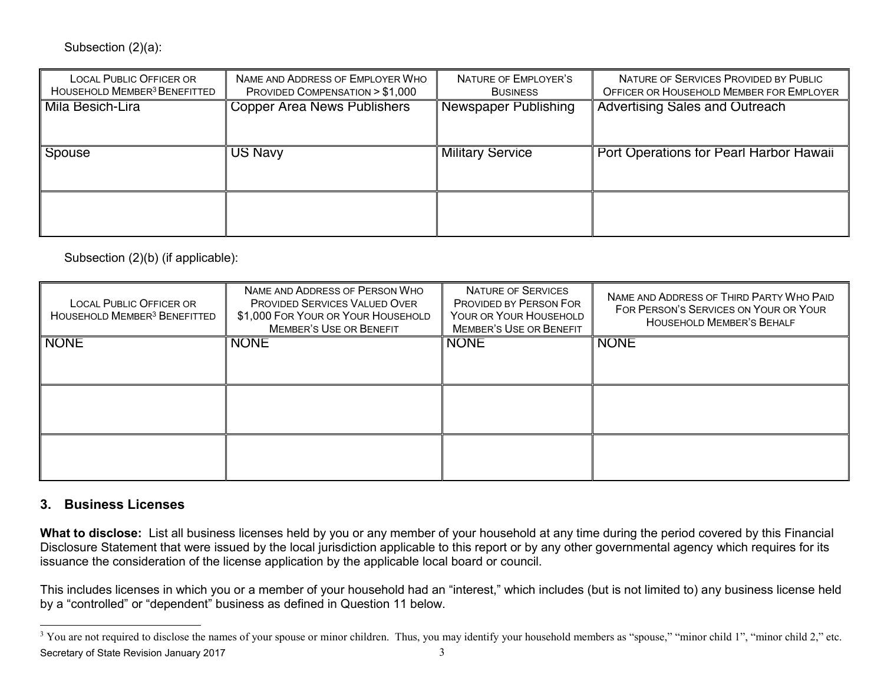#### Subsection (2)(a):

| <b>LOCAL PUBLIC OFFICER OR</b><br>HOUSEHOLD MEMBER <sup>3</sup> BENEFITTED | NAME AND ADDRESS OF EMPLOYER WHO<br>PROVIDED COMPENSATION > \$1,000 | NATURE OF EMPLOYER'S<br><b>BUSINESS</b> | NATURE OF SERVICES PROVIDED BY PUBLIC<br>OFFICER OR HOUSEHOLD MEMBER FOR EMPLOYER |
|----------------------------------------------------------------------------|---------------------------------------------------------------------|-----------------------------------------|-----------------------------------------------------------------------------------|
| Mila Besich-Lira                                                           | <b>Copper Area News Publishers</b>                                  | Newspaper Publishing                    | <b>Advertising Sales and Outreach</b>                                             |
| Spouse                                                                     | <b>US Navy</b>                                                      | <b>Military Service</b>                 | Port Operations for Pearl Harbor Hawaii                                           |
|                                                                            |                                                                     |                                         |                                                                                   |

| Mila Besich-Lira                                                           | <b>Copper Area News Publishers</b>                                                                                                      | Newspaper Publishing                                                                                            | <b>Advertising Sales and Outreach</b>                                                                                                                                                                                                                                                                    |
|----------------------------------------------------------------------------|-----------------------------------------------------------------------------------------------------------------------------------------|-----------------------------------------------------------------------------------------------------------------|----------------------------------------------------------------------------------------------------------------------------------------------------------------------------------------------------------------------------------------------------------------------------------------------------------|
| Spouse                                                                     | <b>US Navy</b>                                                                                                                          | <b>Military Service</b>                                                                                         | Port Operations for Pearl Harbor Hawaii                                                                                                                                                                                                                                                                  |
|                                                                            |                                                                                                                                         |                                                                                                                 |                                                                                                                                                                                                                                                                                                          |
| Subsection (2)(b) (if applicable):                                         |                                                                                                                                         |                                                                                                                 |                                                                                                                                                                                                                                                                                                          |
| <b>LOCAL PUBLIC OFFICER OR</b><br>HOUSEHOLD MEMBER <sup>3</sup> BENEFITTED | NAME AND ADDRESS OF PERSON WHO<br>PROVIDED SERVICES VALUED OVER<br>\$1,000 FOR YOUR OR YOUR HOUSEHOLD<br><b>MEMBER'S USE OR BENEFIT</b> | <b>NATURE OF SERVICES</b><br>PROVIDED BY PERSON FOR<br>YOUR OR YOUR HOUSEHOLD<br><b>MEMBER'S USE OR BENEFIT</b> | NAME AND ADDRESS OF THIRD PARTY WHO PAID<br>FOR PERSON'S SERVICES ON YOUR OR YOUR<br><b>HOUSEHOLD MEMBER'S BEHALF</b>                                                                                                                                                                                    |
| <b>NONE</b>                                                                | <b>NONE</b>                                                                                                                             | <b>NONE</b>                                                                                                     | <b>NONE</b>                                                                                                                                                                                                                                                                                              |
|                                                                            |                                                                                                                                         |                                                                                                                 |                                                                                                                                                                                                                                                                                                          |
|                                                                            |                                                                                                                                         |                                                                                                                 |                                                                                                                                                                                                                                                                                                          |
| 3. Business Licenses                                                       |                                                                                                                                         |                                                                                                                 |                                                                                                                                                                                                                                                                                                          |
|                                                                            | issuance the consideration of the license application by the applicable local board or council.                                         |                                                                                                                 | What to disclose: List all business licenses held by you or any member of your household at any time during the period covered by this Financial<br>Disclosure Statement that were issued by the local jurisdiction applicable to this report or by any other governmental agency which requires for its |
|                                                                            | by a "controlled" or "dependent" business as defined in Question 11 below.                                                              |                                                                                                                 | This includes licenses in which you or a member of your household had an "interest," which includes (but is not limited to) any business license held                                                                                                                                                    |
|                                                                            |                                                                                                                                         |                                                                                                                 | <sup>3</sup> You are not required to disclose the names of your spouse or minor children. Thus, you may identify your household members as "spouse," "minor child 1", "minor child 2," etc.                                                                                                              |

## **3. Business Licenses**

Secretary of State Revision January 2017 3 <sup>3</sup> You are not required to disclose the names of your spouse or minor children. Thus, you may identify your household members as "spouse," "minor child 1", "minor child 2," etc.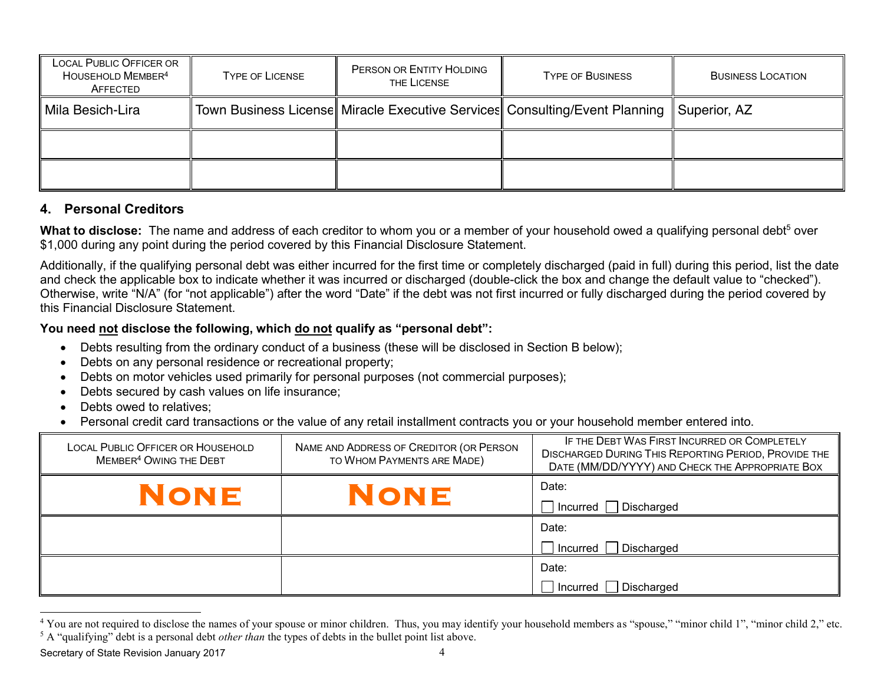| <b>LOCAL PUBLIC OFFICER OR</b><br>HOUSEHOLD MEMBER <sup>4</sup><br>AFFECTED                                                   | <b>TYPE OF LICENSE</b>                                                                                                                                                                                                                                                                                                                                                                                                                                                                                                | PERSON OR ENTITY HOLDING<br>THE LICENSE                                                               | <b>TYPE OF BUSINESS</b>                                                                                                                             | <b>BUSINESS LOCATION</b>                                                                                                                                |  |  |
|-------------------------------------------------------------------------------------------------------------------------------|-----------------------------------------------------------------------------------------------------------------------------------------------------------------------------------------------------------------------------------------------------------------------------------------------------------------------------------------------------------------------------------------------------------------------------------------------------------------------------------------------------------------------|-------------------------------------------------------------------------------------------------------|-----------------------------------------------------------------------------------------------------------------------------------------------------|---------------------------------------------------------------------------------------------------------------------------------------------------------|--|--|
| Mila Besich-Lira                                                                                                              |                                                                                                                                                                                                                                                                                                                                                                                                                                                                                                                       | Town Business License   Miracle Executive Services   Consulting/Event Planning                        |                                                                                                                                                     | Superior, AZ                                                                                                                                            |  |  |
|                                                                                                                               |                                                                                                                                                                                                                                                                                                                                                                                                                                                                                                                       |                                                                                                       |                                                                                                                                                     |                                                                                                                                                         |  |  |
|                                                                                                                               |                                                                                                                                                                                                                                                                                                                                                                                                                                                                                                                       |                                                                                                       |                                                                                                                                                     |                                                                                                                                                         |  |  |
| 4. Personal Creditors                                                                                                         |                                                                                                                                                                                                                                                                                                                                                                                                                                                                                                                       |                                                                                                       |                                                                                                                                                     |                                                                                                                                                         |  |  |
|                                                                                                                               |                                                                                                                                                                                                                                                                                                                                                                                                                                                                                                                       | \$1,000 during any point during the period covered by this Financial Disclosure Statement.            | What to disclose: The name and address of each creditor to whom you or a member of your household owed a qualifying personal debt <sup>5</sup> over |                                                                                                                                                         |  |  |
|                                                                                                                               | Additionally, if the qualifying personal debt was either incurred for the first time or completely discharged (paid in full) during this period, list the date<br>and check the applicable box to indicate whether it was incurred or discharged (double-click the box and change the default value to "checked").<br>Otherwise, write "N/A" (for "not applicable") after the word "Date" if the debt was not first incurred or fully discharged during the period covered by<br>this Financial Disclosure Statement. |                                                                                                       |                                                                                                                                                     |                                                                                                                                                         |  |  |
|                                                                                                                               | You need not disclose the following, which do not qualify as "personal debt":                                                                                                                                                                                                                                                                                                                                                                                                                                         |                                                                                                       |                                                                                                                                                     |                                                                                                                                                         |  |  |
|                                                                                                                               |                                                                                                                                                                                                                                                                                                                                                                                                                                                                                                                       | Debts resulting from the ordinary conduct of a business (these will be disclosed in Section B below); |                                                                                                                                                     |                                                                                                                                                         |  |  |
|                                                                                                                               | Debts on any personal residence or recreational property;                                                                                                                                                                                                                                                                                                                                                                                                                                                             | Debts on motor vehicles used primarily for personal purposes (not commercial purposes);               |                                                                                                                                                     |                                                                                                                                                         |  |  |
|                                                                                                                               | Debts secured by cash values on life insurance;                                                                                                                                                                                                                                                                                                                                                                                                                                                                       |                                                                                                       |                                                                                                                                                     |                                                                                                                                                         |  |  |
|                                                                                                                               | Debts owed to relatives:                                                                                                                                                                                                                                                                                                                                                                                                                                                                                              |                                                                                                       |                                                                                                                                                     |                                                                                                                                                         |  |  |
| Personal credit card transactions or the value of any retail installment contracts you or your household member entered into. |                                                                                                                                                                                                                                                                                                                                                                                                                                                                                                                       |                                                                                                       |                                                                                                                                                     |                                                                                                                                                         |  |  |
| LOCAL PUBLIC OFFICER OR HOUSEHOLD<br>MEMBER <sup>4</sup> OWING THE DEBT                                                       |                                                                                                                                                                                                                                                                                                                                                                                                                                                                                                                       | NAME AND ADDRESS OF CREDITOR (OR PERSON<br>TO WHOM PAYMENTS ARE MADE)                                 |                                                                                                                                                     | IF THE DEBT WAS FIRST INCURRED OR COMPLETELY<br>DISCHARGED DURING THIS REPORTING PERIOD, PROVIDE THE<br>DATE (MM/DD/YYYY) AND CHECK THE APPROPRIATE BOX |  |  |
|                                                                                                                               | NONE                                                                                                                                                                                                                                                                                                                                                                                                                                                                                                                  | NONE                                                                                                  | Date:<br>Incurred<br>Discharged                                                                                                                     |                                                                                                                                                         |  |  |

#### **4. Personal Creditors**

#### **You need not disclose the following, which do not qualify as "personal debt":**

- Debts resulting from the ordinary conduct of a business (these will be disclosed in Section B below);
- Debts on any personal residence or recreational property;
- Debts on motor vehicles used primarily for personal purposes (not commercial purposes);
- Debts secured by cash values on life insurance:
- Debts owed to relatives:
- Personal credit card transactions or the value of any retail installment contracts you or your household member entered into.

| <b>LOCAL PUBLIC OFFICER OR HOUSEHOLD</b><br>MEMBER <sup>4</sup> OWING THE DEBT | NAME AND ADDRESS OF CREDITOR (OR PERSON<br>TO WHOM PAYMENTS ARE MADE) | IF THE DEBT WAS FIRST INCURRED OR COMPLETELY<br>DISCHARGED DURING THIS REPORTING PERIOD, PROVIDE THE<br>DATE (MM/DD/YYYY) AND CHECK THE APPROPRIATE BOX |
|--------------------------------------------------------------------------------|-----------------------------------------------------------------------|---------------------------------------------------------------------------------------------------------------------------------------------------------|
| NONE                                                                           | <b>NONE</b>                                                           | Date:<br>Incurred Discharged                                                                                                                            |
|                                                                                |                                                                       | Date:<br>Discharged<br>  Incurred                                                                                                                       |
|                                                                                |                                                                       | Date:<br>Incurred Discharged                                                                                                                            |

Secretary of State Revision January 2017 4

<sup>&</sup>lt;sup>4</sup> You are not required to disclose the names of your spouse or minor children. Thus, you may identify your household members as "spouse," "minor child 1", "minor child 2," etc. <sup>5</sup> A "qualifying" debt is a personal debt *other than* the types of debts in the bullet point list above.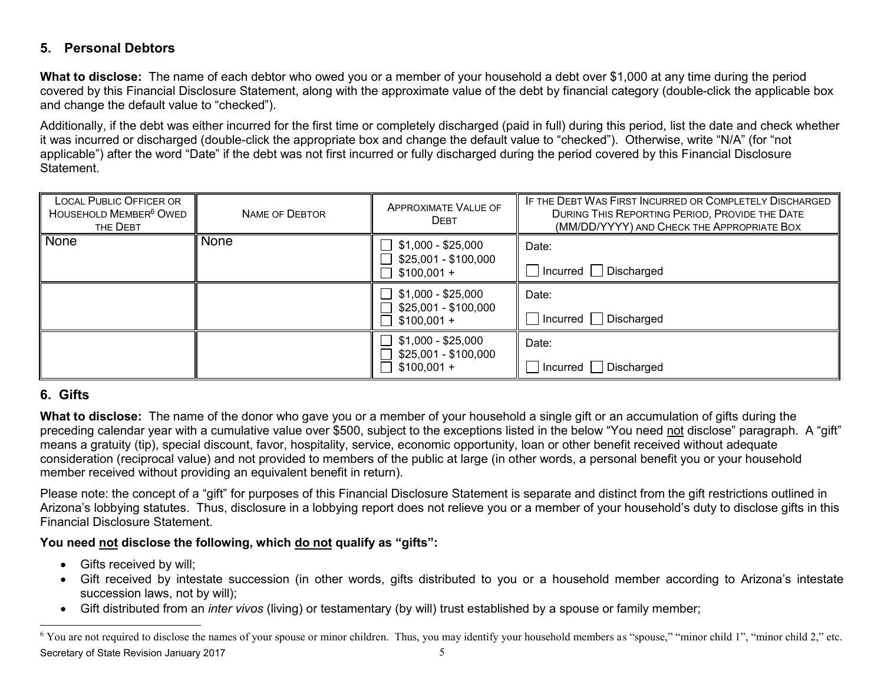## **5. Personal Debtors**

**What to disclose:** The name of each debtor who owed you or a member of your household a debt over \$1,000 at any time during the period covered by this Financial Disclosure Statement, along with the approximate value of the debt by financial category (double-click the applicable box and change the default value to "checked").

Additionally, if the debt was either incurred for the first time or completely discharged (paid in full) during this period, list the date and check whether it was incurred or discharged (double-click the appropriate box and change the default value to "checked"). Otherwise, write "N/A" (for "not applicable") after the word "Date" if the debt was not first incurred or fully discharged during the period covered by this Financial Disclosure Statement.

| <b>LOCAL PUBLIC OFFICER OR</b><br>HOUSEHOLD MEMBER <sup>6</sup> OWED<br>THE DEBT | <b>NAME OF DEBTOR</b>                                                 | <b>APPROXIMATE VALUE OF</b><br><b>DEBT</b>                        | IF THE DEBT WAS FIRST INCURRED OR COMPLETELY DISCHARGED<br>DURING THIS REPORTING PERIOD, PROVIDE THE DATE<br>(MM/DD/YYYY) AND CHECK THE APPROPRIATE BOX                                                                                                                                                                                                                                                                                                                                                                                                                                           |
|----------------------------------------------------------------------------------|-----------------------------------------------------------------------|-------------------------------------------------------------------|---------------------------------------------------------------------------------------------------------------------------------------------------------------------------------------------------------------------------------------------------------------------------------------------------------------------------------------------------------------------------------------------------------------------------------------------------------------------------------------------------------------------------------------------------------------------------------------------------|
| None                                                                             | None                                                                  | $$1,000 - $25,000$<br>\$25,001 - \$100,000<br>$$100,001 +$        | Date:<br>□ Incurred □ Discharged                                                                                                                                                                                                                                                                                                                                                                                                                                                                                                                                                                  |
|                                                                                  |                                                                       | $\Box$ \$1,000 - \$25,000<br>\$25,001 - \$100,000<br>$$100,001 +$ | Date:<br>□ Incurred □ Discharged                                                                                                                                                                                                                                                                                                                                                                                                                                                                                                                                                                  |
|                                                                                  |                                                                       | $\Box$ \$1,000 - \$25,000                                         | Date:                                                                                                                                                                                                                                                                                                                                                                                                                                                                                                                                                                                             |
|                                                                                  |                                                                       | \$25,001 - \$100,000<br>$$100,001 +$                              | $\Box$ Incurred $\Box$ Discharged                                                                                                                                                                                                                                                                                                                                                                                                                                                                                                                                                                 |
| 6. Gifts                                                                         |                                                                       |                                                                   |                                                                                                                                                                                                                                                                                                                                                                                                                                                                                                                                                                                                   |
|                                                                                  | member received without providing an equivalent benefit in return).   |                                                                   | What to disclose: The name of the donor who gave you or a member of your household a single gift or an accumulation of gifts during the<br>preceding calendar year with a cumulative value over \$500, subject to the exceptions listed in the below "You need not disclose" paragraph. A "gift"<br>means a gratuity (tip), special discount, favor, hospitality, service, economic opportunity, loan or other benefit received without adequate<br>consideration (reciprocal value) and not provided to members of the public at large (in other words, a personal benefit you or your household |
| <b>Financial Disclosure Statement.</b>                                           |                                                                       |                                                                   | Please note: the concept of a "gift" for purposes of this Financial Disclosure Statement is separate and distinct from the gift restrictions outlined in<br>Arizona's lobbying statutes. Thus, disclosure in a lobbying report does not relieve you or a member of your household's duty to disclose gifts in this                                                                                                                                                                                                                                                                                |
|                                                                                  | You need not disclose the following, which do not qualify as "gifts": |                                                                   |                                                                                                                                                                                                                                                                                                                                                                                                                                                                                                                                                                                                   |
| Gifts received by will;<br>succession laws, not by will);                        |                                                                       |                                                                   | Gift received by intestate succession (in other words, gifts distributed to you or a household member according to Arizona's intestate<br>Gift distributed from an inter vivos (living) or testamentary (by will) trust established by a spouse or family member;                                                                                                                                                                                                                                                                                                                                 |
|                                                                                  |                                                                       |                                                                   | <sup>6</sup> You are not required to disclose the names of your spouse or minor children. Thus, you may identify your household members as "spouse," "minor child 1", "minor child 2," etc.                                                                                                                                                                                                                                                                                                                                                                                                       |

## **6. Gifts**

#### You need not disclose the following, which do not qualify as "gifts":

- $\bullet$  Gifts received by will;
- Gift received by intestate succession (in other words, gifts distributed to you or a household member according to Arizona's intestate succession laws, not by will);
- x Gift distributed from an *inter vivos* (living) or testamentary (by will) trust established by a spouse or family member;

Secretary of State Revision January 2017 5 <sup>6</sup> You are not required to disclose the names of your spouse or minor children. Thus, you may identify your household members as "spouse," "minor child 1", "minor child 2," etc.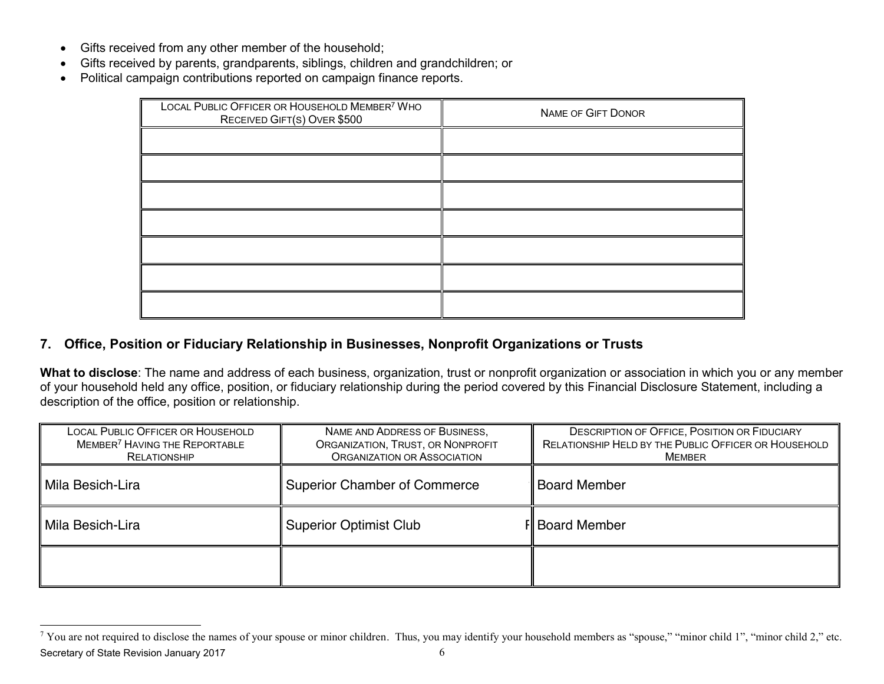- Gifts received from any other member of the household;
- Gifts received by parents, grandparents, siblings, children and grandchildren; or
- Political campaign contributions reported on campaign finance reports.

| LOCAL PUBLIC OFFICER OR HOUSEHOLD MEMBER <sup>7</sup> WHO<br>RECEIVED GIFT(S) OVER \$500 | <b>NAME OF GIFT DONOR</b> |
|------------------------------------------------------------------------------------------|---------------------------|
|                                                                                          |                           |
|                                                                                          |                           |
|                                                                                          |                           |
|                                                                                          |                           |
|                                                                                          |                           |
|                                                                                          |                           |
|                                                                                          |                           |

# **7. Office, Position or Fiduciary Relationship in Businesses, Nonprofit Organizations or Trusts**

**What to disclose**: The name and address of each business, organization, trust or nonprofit organization or association in which you or any member of your household held any office, position, or fiduciary relationship during the period covered by this Financial Disclosure Statement, including a description of the office, position or relationship.

| LOCAL PUBLIC OFFICER OR HOUSEHOLD<br>MEMBER <sup>7</sup> HAVING THE REPORTABLE<br>RELATIONSHIP | NAME AND ADDRESS OF BUSINESS,<br>ORGANIZATION, TRUST, OR NONPROFIT<br>ORGANIZATION OR ASSOCIATION | <b>DESCRIPTION OF OFFICE, POSITION OR FIDUCIARY</b><br>RELATIONSHIP HELD BY THE PUBLIC OFFICER OR HOUSEHOLD<br><b>MEMBER</b> |
|------------------------------------------------------------------------------------------------|---------------------------------------------------------------------------------------------------|------------------------------------------------------------------------------------------------------------------------------|
| Mila Besich-Lira                                                                               | <b>Superior Chamber of Commerce</b><br><b>Board Member</b>                                        |                                                                                                                              |
| Mila Besich-Lira                                                                               | <b>Superior Optimist Club</b>                                                                     | <b>F</b> Board Member                                                                                                        |
|                                                                                                |                                                                                                   |                                                                                                                              |

Secretary of State Revision January 2017 6 <sup>7</sup> You are not required to disclose the names of your spouse or minor children. Thus, you may identify your household members as "spouse," "minor child 1", "minor child 2," etc.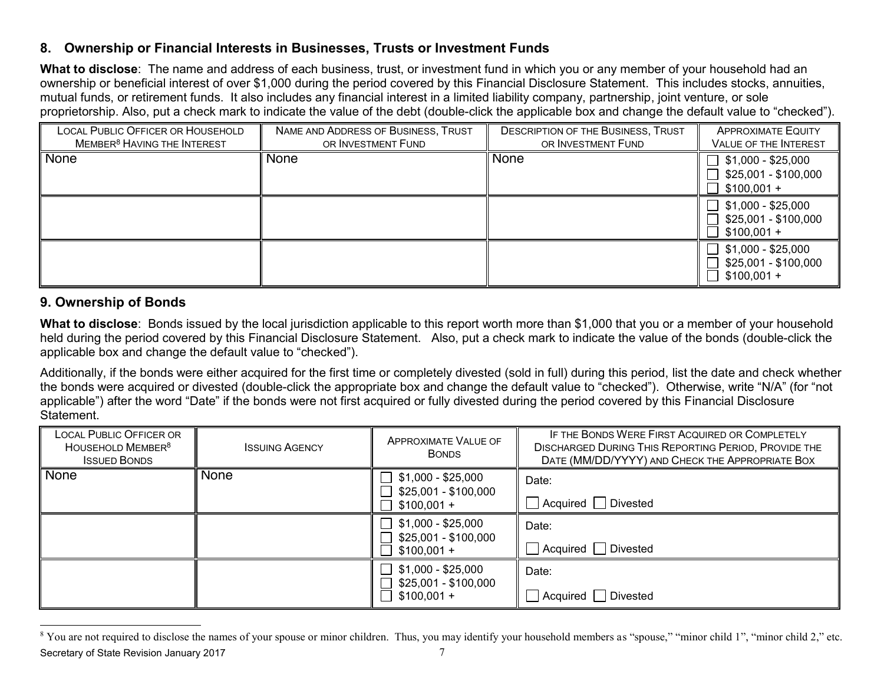## **8. Ownership or Financial Interests in Businesses, Trusts or Investment Funds**

**What to disclose**: The name and address of each business, trust, or investment fund in which you or any member of your household had an ownership or beneficial interest of over \$1,000 during the period covered by this Financial Disclosure Statement. This includes stocks, annuities, mutual funds, or retirement funds. It also includes any financial interest in a limited liability company, partnership, joint venture, or sole proprietorship. Also, put a check mark to indicate the value of the debt (double-click the applicable box and change the default value to "checked").

| <b>LOCAL PUBLIC OFFICER OR HOUSEHOLD</b><br>MEMBER <sup>8</sup> HAVING THE INTEREST | NAME AND ADDRESS OF BUSINESS, TRUST<br>OR INVESTMENT FUND | <b>DESCRIPTION OF THE BUSINESS, TRUST</b><br>OR INVESTMENT FUND | <b>APPROXIMATE EQUITY</b><br><b>VALUE OF THE INTEREST</b>                    |
|-------------------------------------------------------------------------------------|-----------------------------------------------------------|-----------------------------------------------------------------|------------------------------------------------------------------------------|
| None                                                                                | <b>None</b>                                               | <b>None</b>                                                     | $\sqrt{51,000}$ - \$25,000<br>】\$25,001 - \$100,000<br>$$100,001 +$          |
|                                                                                     |                                                           |                                                                 | $\rfloor$ \$1,000 - \$25,000<br>∫ \$25,001 - \$100,000<br>$$100,001 +$       |
|                                                                                     |                                                           |                                                                 | $\sqrt{ }$ \$1,000 - \$25,000<br>$\frac{25,001 - $100,000}{$<br>$$100,001 +$ |

# **9. Ownership of Bonds**

**What to disclose**: Bonds issued by the local jurisdiction applicable to this report worth more than \$1,000 that you or a member of your household held during the period covered by this Financial Disclosure Statement. Also, put a check mark to indicate the value of the bonds (double-click the applicable box and change the default value to "checked").

Additionally, if the bonds were either acquired for the first time or completely divested (sold in full) during this period, list the date and check whether the bonds were acquired or divested (double-click the appropriate box and change the default value to "checked"). Otherwise, write "N/A" (for "not applicable") after the word "Date" if the bonds were not first acquired or fully divested during the period covered by this Financial Disclosure Statement.

| <b>LOCAL PUBLIC OFFICER OR</b><br>HOUSEHOLD MEMBER <sup>8</sup><br><b>ISSUED BONDS</b> | <b>ISSUING AGENCY</b> | <b>APPROXIMATE VALUE OF</b><br><b>BONDS</b> | IF THE BONDS WERE FIRST ACQUIRED OR COMPLETELY<br><b>DISCHARGED DURING THIS REPORTING PERIOD, PROVIDE THE</b><br>DATE (MM/DD/YYYY) AND CHECK THE APPROPRIATE BOX |
|----------------------------------------------------------------------------------------|-----------------------|---------------------------------------------|------------------------------------------------------------------------------------------------------------------------------------------------------------------|
| <b>None</b>                                                                            | <b>None</b>           | \$1,000 - \$25,000<br>\$25,001 - \$100,000  | Date:                                                                                                                                                            |
|                                                                                        |                       | $$100,001 +$                                | Acquired Divested                                                                                                                                                |
|                                                                                        |                       | \$1,000 - \$25,000                          | Date:                                                                                                                                                            |
|                                                                                        |                       | $$25,001 - $100,000$<br>$$100,001 +$        | Acquired   Divested                                                                                                                                              |
|                                                                                        |                       | \$1,000 - \$25,000                          | Date:                                                                                                                                                            |
|                                                                                        |                       | \$25,001 - \$100,000<br>$$100,001 +$        | Divested<br>  Acquired                                                                                                                                           |

Secretary of State Revision January 2017 **7** and the state of  $\frac{7}{7}$ <sup>8</sup> You are not required to disclose the names of your spouse or minor children. Thus, you may identify your household members as "spouse," "minor child 1", "minor child 2," etc.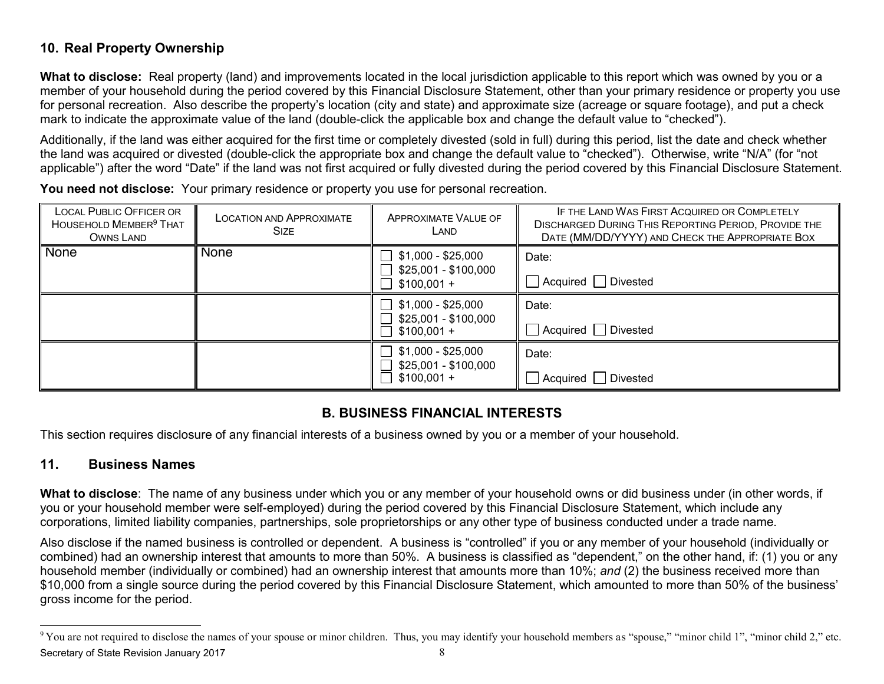# **10. Real Property Ownership**

**What to disclose:** Real property (land) and improvements located in the local jurisdiction applicable to this report which was owned by you or a member of your household during the period covered by this Financial Disclosure Statement, other than your primary residence or property you use for personal recreation. Also describe the property's location (city and state) and approximate size (acreage or square footage), and put a check mark to indicate the approximate value of the land (double-click the applicable box and change the default value to "checked").

Additionally, if the land was either acquired for the first time or completely divested (sold in full) during this period, list the date and check whether the land was acquired or divested (double-click the appropriate box and change the default value to "checked"). Otherwise, write "N/A" (for "not applicable") after the word "Date" if the land was not first acquired or fully divested during the period covered by this Financial Disclosure Statement.

**You need not disclose:** Your primary residence or property you use for personal recreation.

| <b>LOCAL PUBLIC OFFICER OR</b><br>HOUSEHOLD MEMBER <sup>9</sup> THAT<br><b>OWNS LAND</b>                                                                                                                                                                                                                                                                                                                                                                                                                                                                                                                                                 | <b>LOCATION AND APPROXIMATE</b><br><b>SIZE</b>                                                                                                                                           | <b>APPROXIMATE VALUE OF</b><br>LAND                        | IF THE LAND WAS FIRST ACQUIRED OR COMPLETELY<br>DISCHARGED DURING THIS REPORTING PERIOD, PROVIDE THE<br>DATE (MM/DD/YYYY) AND CHECK THE APPROPRIATE BOX                                     |  |  |  |
|------------------------------------------------------------------------------------------------------------------------------------------------------------------------------------------------------------------------------------------------------------------------------------------------------------------------------------------------------------------------------------------------------------------------------------------------------------------------------------------------------------------------------------------------------------------------------------------------------------------------------------------|------------------------------------------------------------------------------------------------------------------------------------------------------------------------------------------|------------------------------------------------------------|---------------------------------------------------------------------------------------------------------------------------------------------------------------------------------------------|--|--|--|
| <b>None</b>                                                                                                                                                                                                                                                                                                                                                                                                                                                                                                                                                                                                                              | <b>None</b>                                                                                                                                                                              | $$1,000 - $25,000$<br>$$25,001 - $100,000$<br>$$100,001 +$ | Date:<br>Acquired   Divested                                                                                                                                                                |  |  |  |
|                                                                                                                                                                                                                                                                                                                                                                                                                                                                                                                                                                                                                                          |                                                                                                                                                                                          | $$1,000 - $25,000$<br>$$25,001 - $100,000$<br>$$100,001 +$ | Date:<br>Acquired Divested                                                                                                                                                                  |  |  |  |
|                                                                                                                                                                                                                                                                                                                                                                                                                                                                                                                                                                                                                                          |                                                                                                                                                                                          | $$1,000 - $25,000$<br>\$25,001 - \$100,000<br>$$100,001 +$ | Date:<br>$\Box$ Acquired $\Box$ Divested                                                                                                                                                    |  |  |  |
| 11.                                                                                                                                                                                                                                                                                                                                                                                                                                                                                                                                                                                                                                      | <b>B. BUSINESS FINANCIAL INTERESTS</b><br>This section requires disclosure of any financial interests of a business owned by you or a member of your household.<br><b>Business Names</b> |                                                            |                                                                                                                                                                                             |  |  |  |
| What to disclose: The name of any business under which you or any member of your household owns or did business under (in other words, if<br>you or your household member were self-employed) during the period covered by this Financial Disclosure Statement, which include any<br>corporations, limited liability companies, partnerships, sole proprietorships or any other type of business conducted under a trade name.                                                                                                                                                                                                           |                                                                                                                                                                                          |                                                            |                                                                                                                                                                                             |  |  |  |
| Also disclose if the named business is controlled or dependent. A business is "controlled" if you or any member of your household (individually or<br>combined) had an ownership interest that amounts to more than 50%. A business is classified as "dependent," on the other hand, if: (1) you or any<br>household member (individually or combined) had an ownership interest that amounts more than 10%; and (2) the business received more than<br>\$10,000 from a single source during the period covered by this Financial Disclosure Statement, which amounted to more than 50% of the business'<br>gross income for the period. |                                                                                                                                                                                          |                                                            |                                                                                                                                                                                             |  |  |  |
|                                                                                                                                                                                                                                                                                                                                                                                                                                                                                                                                                                                                                                          |                                                                                                                                                                                          |                                                            | <sup>9</sup> You are not required to disclose the names of your spouse or minor children. Thus, you may identify your household members as "spouse," "minor child 1", "minor child 2," etc. |  |  |  |

## **B. BUSINESS FINANCIAL INTERESTS**

#### **11. Business Names**

Secretary of State Revision January 2017 Manuary 2017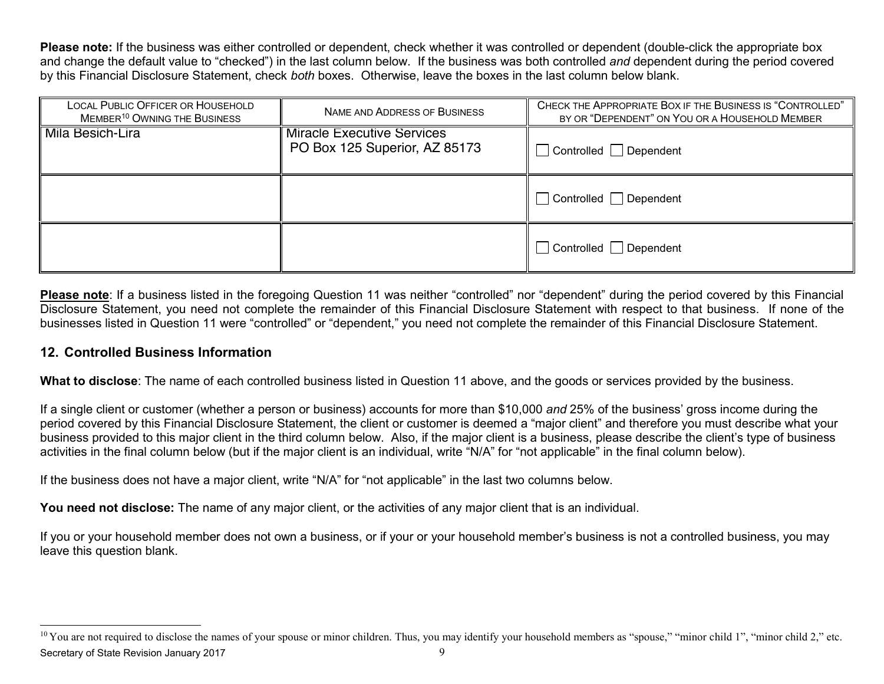**Please note:** If the business was either controlled or dependent, check whether it was controlled or dependent (double-click the appropriate box and change the default value to "checked") in the last column below. If the business was both controlled *and* dependent during the period covered by this Financial Disclosure Statement, check *both* boxes. Otherwise, leave the boxes in the last column below blank.

| <b>LOCAL PUBLIC OFFICER OR HOUSEHOLD</b><br>MEMBER <sup>10</sup> OWNING THE BUSINESS                                                                                                                                                                                                                                                                                                                                                                                                           | NAME AND ADDRESS OF BUSINESS                                                                                                                 | CHECK THE APPROPRIATE BOX IF THE BUSINESS IS "CONTROLLED"<br>BY OR "DEPENDENT" ON YOU OR A HOUSEHOLD MEMBER                                                                                                                                                                                                                                                                                                                                                      |  |  |
|------------------------------------------------------------------------------------------------------------------------------------------------------------------------------------------------------------------------------------------------------------------------------------------------------------------------------------------------------------------------------------------------------------------------------------------------------------------------------------------------|----------------------------------------------------------------------------------------------------------------------------------------------|------------------------------------------------------------------------------------------------------------------------------------------------------------------------------------------------------------------------------------------------------------------------------------------------------------------------------------------------------------------------------------------------------------------------------------------------------------------|--|--|
| Mila Besich-Lira                                                                                                                                                                                                                                                                                                                                                                                                                                                                               | <b>Miracle Executive Services</b><br>PO Box 125 Superior, AZ 85173                                                                           | $\Box$ Controlled $\Box$ Dependent                                                                                                                                                                                                                                                                                                                                                                                                                               |  |  |
|                                                                                                                                                                                                                                                                                                                                                                                                                                                                                                |                                                                                                                                              | □ Controlled □ Dependent                                                                                                                                                                                                                                                                                                                                                                                                                                         |  |  |
|                                                                                                                                                                                                                                                                                                                                                                                                                                                                                                |                                                                                                                                              | $\Box$ Controlled $\Box$ Dependent                                                                                                                                                                                                                                                                                                                                                                                                                               |  |  |
| Please note: If a business listed in the foregoing Question 11 was neither "controlled" nor "dependent" during the period covered by this Financial<br>Disclosure Statement, you need not complete the remainder of this Financial Disclosure Statement with respect to that business. If none of the<br>businesses listed in Question 11 were "controlled" or "dependent," you need not complete the remainder of this Financial Disclosure Statement.<br>12. Controlled Business Information |                                                                                                                                              |                                                                                                                                                                                                                                                                                                                                                                                                                                                                  |  |  |
|                                                                                                                                                                                                                                                                                                                                                                                                                                                                                                |                                                                                                                                              | What to disclose: The name of each controlled business listed in Question 11 above, and the goods or services provided by the business.                                                                                                                                                                                                                                                                                                                          |  |  |
|                                                                                                                                                                                                                                                                                                                                                                                                                                                                                                | activities in the final column below (but if the major client is an individual, write "N/A" for "not applicable" in the final column below). | If a single client or customer (whether a person or business) accounts for more than \$10,000 and 25% of the business' gross income during the<br>period covered by this Financial Disclosure Statement, the client or customer is deemed a "major client" and therefore you must describe what your<br>business provided to this major client in the third column below. Also, if the major client is a business, please describe the client's type of business |  |  |
| If the business does not have a major client, write "N/A" for "not applicable" in the last two columns below.                                                                                                                                                                                                                                                                                                                                                                                  |                                                                                                                                              |                                                                                                                                                                                                                                                                                                                                                                                                                                                                  |  |  |
| You need not disclose: The name of any major client, or the activities of any major client that is an individual.                                                                                                                                                                                                                                                                                                                                                                              |                                                                                                                                              |                                                                                                                                                                                                                                                                                                                                                                                                                                                                  |  |  |
| If you or your household member does not own a business, or if your or your household member's business is not a controlled business, you may<br>leave this question blank.                                                                                                                                                                                                                                                                                                                    |                                                                                                                                              |                                                                                                                                                                                                                                                                                                                                                                                                                                                                  |  |  |
|                                                                                                                                                                                                                                                                                                                                                                                                                                                                                                |                                                                                                                                              |                                                                                                                                                                                                                                                                                                                                                                                                                                                                  |  |  |
|                                                                                                                                                                                                                                                                                                                                                                                                                                                                                                |                                                                                                                                              | <sup>10</sup> You are not required to disclose the names of your spouse or minor children. Thus, you may identify your household members as "spouse," "minor child 1", "minor child 2," etc.                                                                                                                                                                                                                                                                     |  |  |

#### **12. Controlled Business Information**

Secretary of State Revision January 2017 9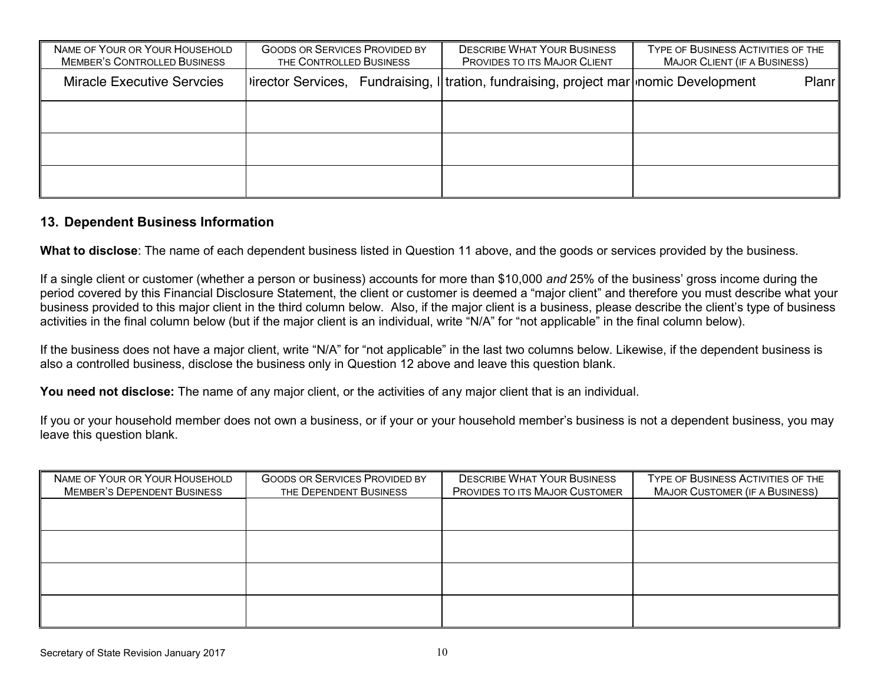| NAME OF YOUR OR YOUR HOUSEHOLD<br><b>MEMBER'S CONTROLLED BUSINESS</b> | <b>GOODS OR SERVICES PROVIDED BY</b><br>THE CONTROLLED BUSINESS |  | <b>DESCRIBE WHAT YOUR BUSINESS</b><br>PROVIDES TO ITS MAJOR CLIENT                    | TYPE OF BUSINESS ACTIVITIES OF THE<br><b>MAJOR CLIENT (IF A BUSINESS)</b> |       |
|-----------------------------------------------------------------------|-----------------------------------------------------------------|--|---------------------------------------------------------------------------------------|---------------------------------------------------------------------------|-------|
| <b>Miracle Executive Servcies</b>                                     |                                                                 |  | Virector Services, Fundraising, I tration, fundraising, project mar nomic Development |                                                                           | Planr |
|                                                                       |                                                                 |  |                                                                                       |                                                                           |       |
|                                                                       |                                                                 |  |                                                                                       |                                                                           |       |
|                                                                       |                                                                 |  |                                                                                       |                                                                           |       |

#### **13. Dependent Business Information**

**What to disclose**: The name of each dependent business listed in Question 11 above, and the goods or services provided by the business.

If a single client or customer (whether a person or business) accounts for more than \$10,000 *and* 25% of the business' gross income during the period covered by this Financial Disclosure Statement, the client or customer is deemed a "major client" and therefore you must describe what your business provided to this major client in the third column below. Also, if the major client is a business, please describe the client's type of business activities in the final column below (but if the major client is an individual, write "N/A" for "not applicable" in the final column below).

If the business does not have a major client, write "N/A" for "not applicable" in the last two columns below. Likewise, if the dependent business is also a controlled business, disclose the business only in Question 12 above and leave this question blank.

You need not disclose: The name of any major client, or the activities of any major client that is an individual.

If you or your household member does not own a business, or if your or your household member's business is not a dependent business, you may leave this question blank.

| <b>GOODS OR SERVICES PROVIDED BY</b><br>THE DEPENDENT BUSINESS | <b>DESCRIBE WHAT YOUR BUSINESS</b><br>PROVIDES TO ITS MAJOR CUSTOMER | TYPE OF BUSINESS ACTIVITIES OF THE<br><b>MAJOR CUSTOMER (IF A BUSINESS)</b> |
|----------------------------------------------------------------|----------------------------------------------------------------------|-----------------------------------------------------------------------------|
|                                                                |                                                                      |                                                                             |
|                                                                |                                                                      |                                                                             |
|                                                                |                                                                      |                                                                             |
|                                                                |                                                                      |                                                                             |
|                                                                |                                                                      |                                                                             |
|                                                                |                                                                      |                                                                             |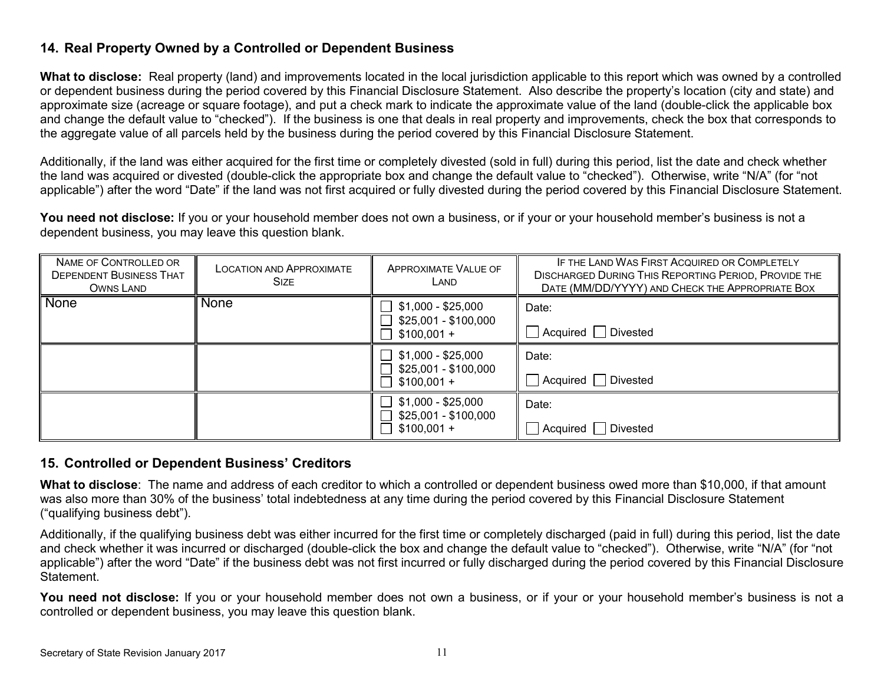## **14. Real Property Owned by a Controlled or Dependent Business**

**What to disclose:** Real property (land) and improvements located in the local jurisdiction applicable to this report which was owned by a controlled or dependent business during the period covered by this Financial Disclosure Statement. Also describe the property's location (city and state) and approximate size (acreage or square footage), and put a check mark to indicate the approximate value of the land (double-click the applicable box and change the default value to "checked"). If the business is one that deals in real property and improvements, check the box that corresponds to the aggregate value of all parcels held by the business during the period covered by this Financial Disclosure Statement.

Additionally, if the land was either acquired for the first time or completely divested (sold in full) during this period, list the date and check whether the land was acquired or divested (double-click the appropriate box and change the default value to "checked"). Otherwise, write "N/A" (for "not applicable") after the word "Date" if the land was not first acquired or fully divested during the period covered by this Financial Disclosure Statement.

**You need not disclose:** If you or your household member does not own a business, or if your or your household member's business is not a dependent business, you may leave this question blank.

| NAME OF CONTROLLED OR<br><b>DEPENDENT BUSINESS THAT</b><br>OWNS LAND | <b>LOCATION AND APPROXIMATE</b><br><b>SIZE</b> | <b>APPROXIMATE VALUE OF</b><br>LAND        | IF THE LAND WAS FIRST ACQUIRED OR COMPLETELY<br><b>DISCHARGED DURING THIS REPORTING PERIOD, PROVIDE THE</b><br>DATE (MM/DD/YYYY) AND CHECK THE APPROPRIATE BOX |
|----------------------------------------------------------------------|------------------------------------------------|--------------------------------------------|----------------------------------------------------------------------------------------------------------------------------------------------------------------|
| None                                                                 | None                                           | \$1,000 - \$25,000<br>\$25,001 - \$100,000 | Date:                                                                                                                                                          |
|                                                                      |                                                | $$100,001 +$                               | Acquired   Divested                                                                                                                                            |
|                                                                      |                                                | \$1,000 - \$25,000                         | Date:                                                                                                                                                          |
|                                                                      |                                                | \$25,001 - \$100,000<br>$$100,001 +$       | Acquired   Divested                                                                                                                                            |
|                                                                      |                                                | \$1,000 - \$25,000<br>\$25,001 - \$100,000 | Date:                                                                                                                                                          |
|                                                                      |                                                | $$100,001 +$                               | Divested<br>Acquired                                                                                                                                           |

#### **15. Controlled or Dependent Business' Creditors**

**What to disclose**: The name and address of each creditor to which a controlled or dependent business owed more than \$10,000, if that amount was also more than 30% of the business' total indebtedness at any time during the period covered by this Financial Disclosure Statement ("qualifying business debt").

Additionally, if the qualifying business debt was either incurred for the first time or completely discharged (paid in full) during this period, list the date and check whether it was incurred or discharged (double-click the box and change the default value to "checked"). Otherwise, write "N/A" (for "not applicable") after the word "Date" if the business debt was not first incurred or fully discharged during the period covered by this Financial Disclosure Statement.

You need not disclose: If you or your household member does not own a business, or if your or your household member's business is not a controlled or dependent business, you may leave this question blank.